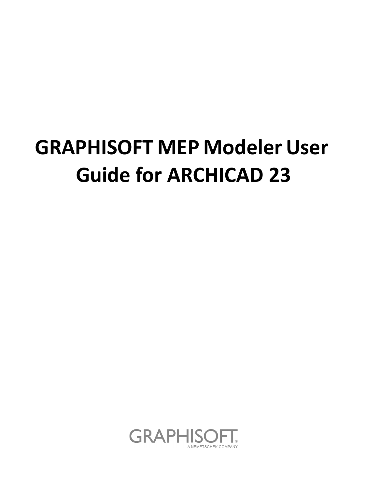# **GRAPHISOFT MEP Modeler User Guide for ARCHICAD 23**

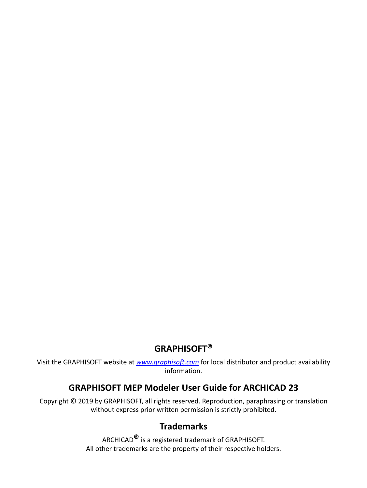### **GRAPHISOFT®**

Visit the GRAPHISOFT website at *[www.graphisoft.com](http://www.graphisoft.com)* for local distributor and product availability information.

#### **GRAPHISOFT MEP Modeler User Guide for ARCHICAD 23**

Copyright © 2019 by GRAPHISOFT, all rights reserved. Reproduction, paraphrasing or translation without express prior written permission is strictly prohibited.

#### **Trademarks**

ARCHICAD**®** is a registered trademark of GRAPHISOFT. All other trademarks are the property of their respective holders.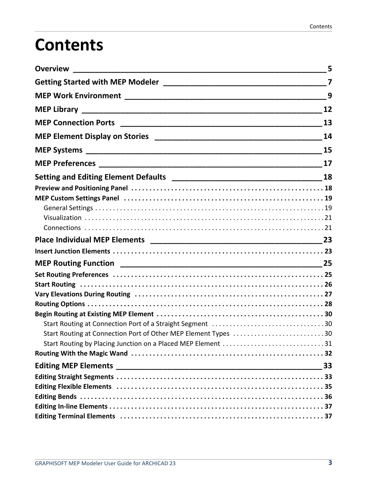# **Contents**

|                                                                | 9 |
|----------------------------------------------------------------|---|
|                                                                |   |
|                                                                |   |
|                                                                |   |
|                                                                |   |
|                                                                |   |
|                                                                |   |
|                                                                |   |
|                                                                |   |
|                                                                |   |
|                                                                |   |
|                                                                |   |
|                                                                |   |
|                                                                |   |
|                                                                |   |
|                                                                |   |
|                                                                |   |
|                                                                |   |
|                                                                |   |
|                                                                |   |
|                                                                |   |
| Start Routing at Connection Port of Other MEP Element Types 30 |   |
| Start Routing by Placing Junction on a Placed MEP Element 31   |   |
|                                                                |   |
|                                                                |   |
|                                                                |   |
|                                                                |   |
|                                                                |   |
|                                                                |   |
|                                                                |   |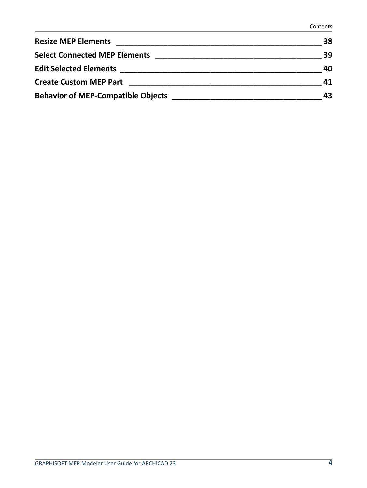| <b>Resize MEP Elements</b>                | 38 |
|-------------------------------------------|----|
| <b>Select Connected MEP Elements</b>      | 39 |
| <b>Edit Selected Elements</b>             | 40 |
| <b>Create Custom MEP Part</b>             | 41 |
| <b>Behavior of MEP-Compatible Objects</b> | 43 |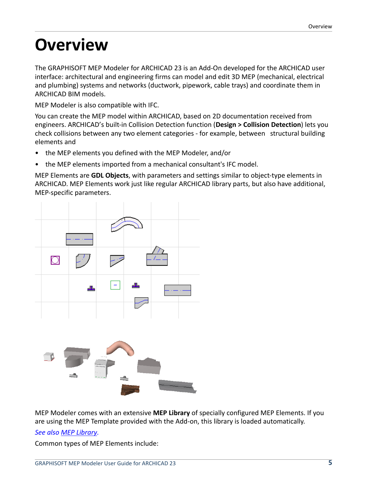# <span id="page-4-0"></span>**Overview**

The GRAPHISOFT MEP Modeler for ARCHICAD 23 is an Add-On developed for the ARCHICAD user interface: architectural and engineering firms can model and edit 3D MEP (mechanical, electrical and plumbing) systems and networks (ductwork, pipework, cable trays) and coordinate them in ARCHICAD BIM models.

MEP Modeler is also compatible with IFC.

You can create the MEP model within ARCHICAD, based on 2D documentation received from engineers. ARCHICAD's built-in Collision Detection function (**Design > Collision Detection**) lets you check collisions between any two element categories - for example, between structural building elements and

- the MEP elements you defined with the MEP Modeler, and/or
- the MEP elements imported from a mechanical consultant's IFC model.

MEP Elements are **GDL Objects**, with parameters and settings similar to object-type elements in ARCHICAD. MEP Elements work just like regular ARCHICAD library parts, but also have additional, MEP-specific parameters.



MEP Modeler comes with an extensive **MEP Library** of specially configured MEP Elements. If you are using the MEP Template provided with the Add-on, this library is loaded automatically.

#### *See also [MEP Library.](#page-11-0)*

Common types of MEP Elements include: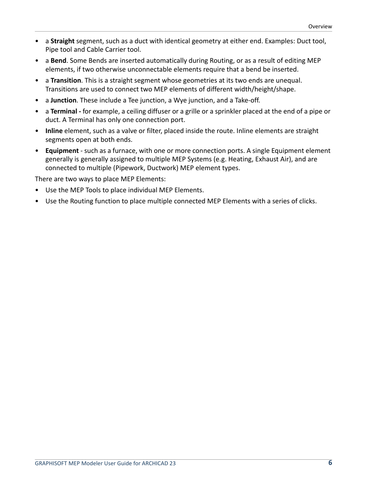- a **Straight** segment, such as a duct with identical geometry at either end. Examples: Duct tool, Pipe tool and Cable Carrier tool.
- a **Bend**. Some Bends are inserted automatically during Routing, or as a result of editing MEP elements, if two otherwise unconnectable elements require that a bend be inserted.
- a **Transition**. This is a straight segment whose geometries at its two ends are unequal. Transitions are used to connect two MEP elements of different width/height/shape.
- a **Junction**. These include a Tee junction, a Wye junction, and a Take-off.
- a **Terminal** for example, a ceiling diffuser or a grille or a sprinkler placed at the end of a pipe or duct. A Terminal has only one connection port.
- **Inline** element, such as a valve or filter, placed inside the route. Inline elements are straight segments open at both ends.
- **Equipment** such as a furnace, with one or more connection ports. A single Equipment element generally is generally assigned to multiple MEP Systems (e.g. Heating, Exhaust Air), and are connected to multiple (Pipework, Ductwork) MEP element types.

There are two ways to place MEP Elements:

- Use the MEP Tools to place individual MEP Elements.
- Use the Routing function to place multiple connected MEP Elements with a series of clicks.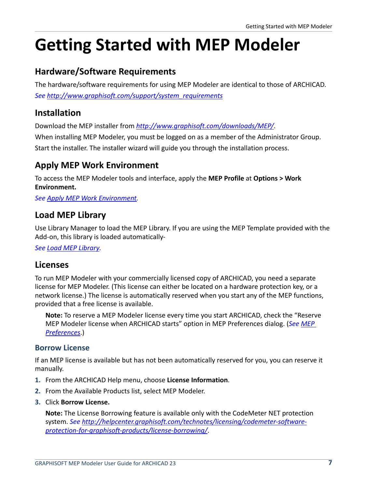# <span id="page-6-0"></span>**Getting Started with MEP Modeler**

#### **Hardware/Software Requirements**

The hardware/software requirements for using MEP Modeler are identical to those of ARCHICAD. *See [http://www.graphisoft.com/support/system\\_requirements](http://www.graphisoft.com/support/system_requirements)*

#### **Installation**

Download the MEP installer from *<http://www.graphisoft.com/downloads/MEP/>*.

When installing MEP Modeler, you must be logged on as a member of the Administrator Group. Start the installer. The installer wizard will guide you through the installation process.

#### <span id="page-6-1"></span>**Apply MEP Work Environment**

To access the MEP Modeler tools and interface, apply the **MEP Profile** at **Options > Work Environment.**

*See [Apply MEP Work Environment.](#page-6-1)*

#### <span id="page-6-2"></span>**Load MEP Library**

Use Library Manager to load the MEP Library. If you are using the MEP Template provided with the Add-on, this library is loaded automatically-

*See [Load MEP Library](#page-6-2).*

#### **Licenses**

To run MEP Modeler with your commercially licensed copy of ARCHICAD, you need a separate license for MEP Modeler. (This license can either be located on a hardware protection key, or a network license.) The license is automatically reserved when you start any of the MEP functions, provided that a free license is available.

**Note:** To reserve a MEP Modeler license every time you start ARCHICAD, check the "Reserve MEP Modeler license when ARCHICAD starts" option in MEP Preferences dialog. (*See [MEP](#page-16-0)  [Preferences](#page-16-0)*.)

#### <span id="page-6-3"></span>**Borrow License**

If an MEP license is available but has not been automatically reserved for you, you can reserve it manually.

- **1.** From the ARCHICAD Help menu, choose **License Information**.
- **2.** From the Available Products list, select MEP Modeler.
- **3.** Click **Borrow License.**

**Note:** The License Borrowing feature is available only with the CodeMeter NET protection system. *See [http://helpcenter.graphisoft.com/technotes/licensing/codemeter-software](http://helpcenter.graphisoft.com/technotes/licensing/codemeter-software-protection-for-graphisoft-products/license-borrowing/)[protection-for-graphisoft-products/license-borrowing/](http://helpcenter.graphisoft.com/technotes/licensing/codemeter-software-protection-for-graphisoft-products/license-borrowing/)*.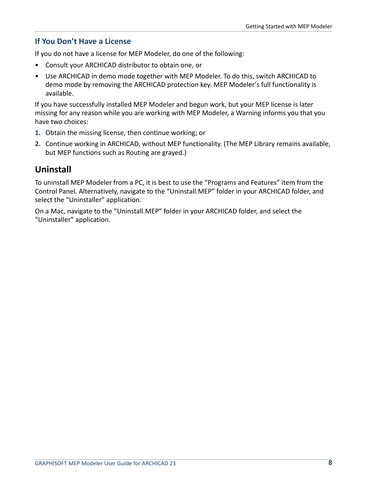#### **If You Don't Have a License**

If you do not have a license for MEP Modeler, do one of the following:

- Consult your ARCHICAD distributor to obtain one, or
- Use ARCHICAD in demo mode together with MEP Modeler. To do this, switch ARCHICAD to demo mode by removing the ARCHICAD protection key. MEP Modeler's full functionality is available.

If you have successfully installed MEP Modeler and begun work, but your MEP license is later missing for any reason while you are working with MEP Modeler, a Warning informs you that you have two choices:

- **1.** Obtain the missing license, then continue working; or
- **2.** Continue working in ARCHICAD, without MEP functionality. (The MEP Library remains available, but MEP functions such as Routing are grayed.)

#### **Uninstall**

To uninstall MEP Modeler from a PC, it is best to use the "Programs and Features" item from the Control Panel. Alternatively, navigate to the "Uninstall.MEP" folder in your ARCHICAD folder, and select the "Uninstaller" application.

On a Mac, navigate to the "Uninstall.MEP" folder in your ARCHICAD folder, and select the "Uninstaller" application.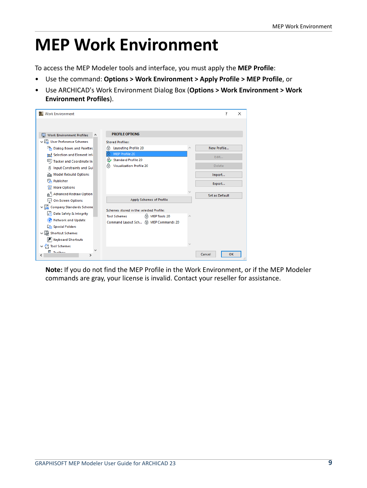# <span id="page-8-0"></span>**MEP Work Environment**

To access the MEP Modeler tools and interface, you must apply the **MEP Profile**:

- Use the command: **Options > Work Environment > Apply Profile > MEP Profile**, or
- Use ARCHICAD's Work Environment Dialog Box (**Options > Work Environment > Work Environment Profiles**).

| <b>Work Environment</b>                       |                                         | ?              | $\times$ |
|-----------------------------------------------|-----------------------------------------|----------------|----------|
|                                               |                                         |                |          |
| Work Environment Profiles                     | <b>PROFILE OPTIONS</b>                  |                |          |
| ↓ En User Preference Schemes                  | <b>Stored Profiles:</b>                 |                |          |
| Dialog Boxes and Palettes                     | <b>Layouting Profile 20</b><br>尙        | New Profile    |          |
| Selection and Element Infi                    | MEP Profile 20<br>iG.                   | Edit           |          |
| Tracker and Coordinate In                     | <b>Standard Profile 20</b><br>尙         |                |          |
| <b>Input Constraints and Gui</b><br>₹         | <b>Visualization Profile 20</b><br>尙    | Delete         |          |
| <b>Rest Model Rebuild Options</b>             |                                         | Import         |          |
| a.<br>Publisher                               |                                         | Export         |          |
| <b>More Options</b><br>۹l۴                    |                                         |                |          |
| A Advanced Redraw Option                      |                                         | Set as Default |          |
| On-Screen Options                             | <b>Apply Schemes of Profile</b>         |                |          |
| ↓ www. Company Standards Scheme               | Schemes stored in the selected Profile: |                |          |
| no Data Safety & Integrity                    | 尚 MEP Tools 20<br><b>Tool Schemes</b>   |                |          |
| <b>Network and Update</b>                     | ெMEP Commands 20<br>Command Layout Sch  |                |          |
| <b>Com</b> Special Folders                    |                                         |                |          |
| $\vee$ $\overrightarrow{AB}$ Shortcut Schemes |                                         |                |          |
| Keyboard Shortcuts                            |                                         |                |          |
| M Tool Schemes                                |                                         |                |          |
| <b>E</b> Taalhov<br>ເ<br>>                    |                                         | Cancel<br>OK   |          |
|                                               |                                         |                |          |

**Note:** If you do not find the MEP Profile in the Work Environment, or if the MEP Modeler commands are gray, your license is invalid. Contact your reseller for assistance.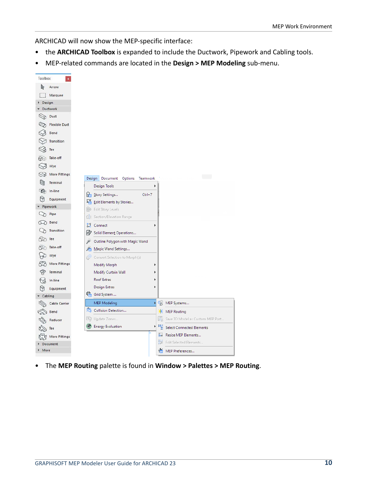ARCHICAD will now show the MEP-specific interface:

- the **ARCHICAD Toolbox** is expanded to include the Ductwork, Pipework and Cabling tools.
- MEP-related commands are located in the **Design > MEP Modeling** sub-menu.



• The **MEP Routing** palette is found in **Window > Palettes > MEP Routing**.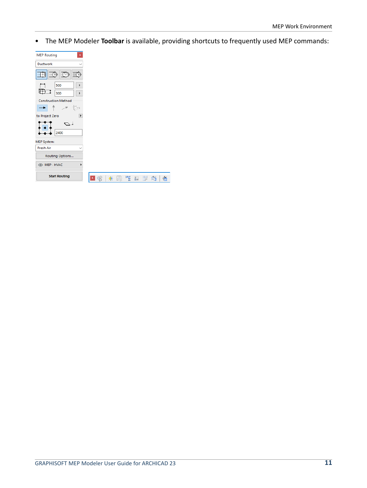• The MEP Modeler **Toolbar** is available, providing shortcuts to frequently used MEP commands:

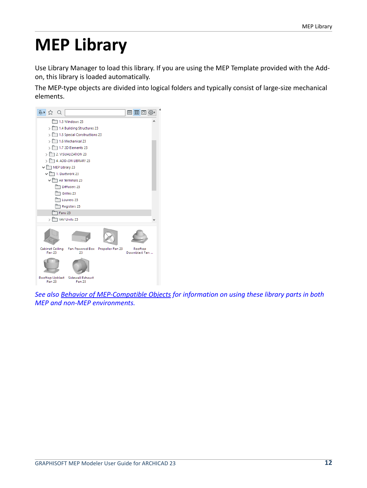# <span id="page-11-0"></span>**MEP Library**

Use Library Manager to load this library. If you are using the MEP Template provided with the Addon, this library is loaded automatically.

The MEP-type objects are divided into logical folders and typically consist of large-size mechanical elements.



*See also [Behavior of MEP-Compatible Objects](#page-42-0) for information on using these library parts in both MEP and non-MEP environments.*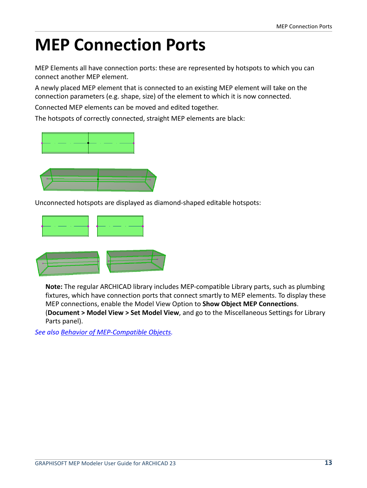# <span id="page-12-0"></span>**MEP Connection Ports**

MEP Elements all have connection ports: these are represented by hotspots to which you can connect another MEP element.

A newly placed MEP element that is connected to an existing MEP element will take on the connection parameters (e.g. shape, size) of the element to which it is now connected.

Connected MEP elements can be moved and edited together.

The hotspots of correctly connected, straight MEP elements are black:





Unconnected hotspots are displayed as diamond-shaped editable hotspots:



**Note:** The regular ARCHICAD library includes MEP-compatible Library parts, such as plumbing fixtures, which have connection ports that connect smartly to MEP elements. To display these MEP connections, enable the Model View Option to **Show Object MEP Connections**. (**Document > Model View > Set Model View**, and go to the Miscellaneous Settings for Library Parts panel).

*See also [Behavior of MEP-Compatible Objects](#page-42-0).*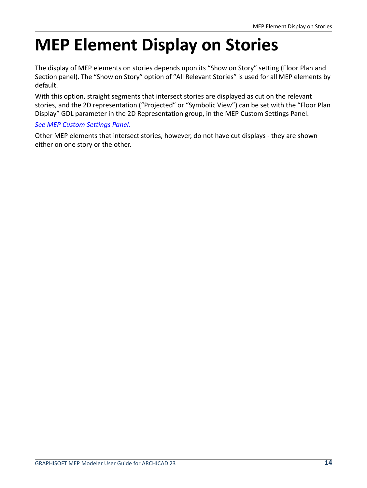# <span id="page-13-0"></span>**MEP Element Display on Stories**

The display of MEP elements on stories depends upon its "Show on Story" setting (Floor Plan and Section panel). The "Show on Story" option of "All Relevant Stories" is used for all MEP elements by default.

With this option, straight segments that intersect stories are displayed as cut on the relevant stories, and the 2D representation ("Projected" or "Symbolic View") can be set with the "Floor Plan Display" GDL parameter in the 2D Representation group, in the MEP Custom Settings Panel.

#### *See [MEP Custom Settings Panel.](#page-18-0)*

Other MEP elements that intersect stories, however, do not have cut displays - they are shown either on one story or the other.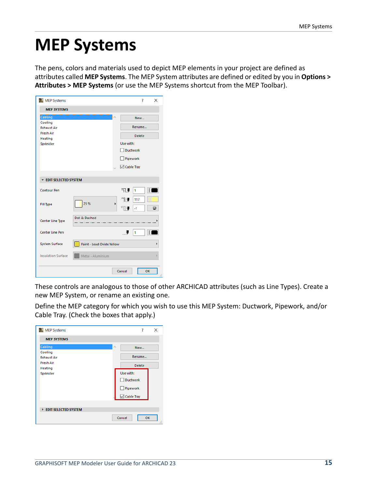## <span id="page-14-0"></span>**MEP Systems**

The pens, colors and materials used to depict MEP elements in your project are defined as attributes called **MEP Systems**. The MEP System attributes are defined or edited by you in **Options > Attributes > MEP Systems** (or use the MEP Systems shortcut from the MEP Toolbar).

| MEP Systems                   |                           |   | ?<br>×                          |
|-------------------------------|---------------------------|---|---------------------------------|
| <b>MEP SYSTEMS</b>            |                           |   |                                 |
| Cabling                       |                           | ۸ | New                             |
| Cooling<br><b>Exhaust Air</b> |                           |   | Rename                          |
| <b>Fresh Air</b>              |                           |   |                                 |
| Heating                       |                           |   | <b>Delete</b>                   |
| Sprinkler                     |                           |   | Use with:                       |
|                               |                           |   | $\Box$ Ductwork                 |
|                               |                           |   | Pipework                        |
|                               |                           |   | Cable Tray                      |
|                               |                           |   |                                 |
| <b>EDIT SELECTED SYSTEM</b>   |                           |   |                                 |
| <b>Contour Pen</b>            |                           |   | ╗╜<br>$\mathbf{1}$              |
| <b>Fill Type</b>              | 25%                       | Þ | ‴≬ U<br>117<br>∏ ।<br>$-1$<br>▭ |
| Center Line Type              | Dot & Dashed              |   |                                 |
| Center Line Pen               |                           |   | Ψ<br>1                          |
| System Surface                | Paint - Lead Oxide Yellow |   |                                 |
| <b>Insulation Surface</b>     | Metal - Aluminium         |   |                                 |
|                               |                           |   | Cancel<br>OK                    |

These controls are analogous to those of other ARCHICAD attributes (such as Line Types). Create a new MEP System, or rename an existing one.

Define the MEP category for which you wish to use this MEP System: Ductwork, Pipework, and/or Cable Tray. (Check the boxes that apply.)

| MEP Systems                 |                 | ?                   | X         |
|-----------------------------|-----------------|---------------------|-----------|
| <b>MEP SYSTEMS</b>          |                 |                     |           |
| Cabling                     | $\mathcal{O}_2$ | New                 |           |
| Cooling                     |                 |                     |           |
| <b>Exhaust Air</b>          |                 | Rename              |           |
| <b>Fresh Air</b>            |                 |                     |           |
| <b>Heating</b>              |                 | <b>Delete</b>       |           |
| Sprinkler                   |                 | Use with:           |           |
|                             |                 | Ductwork            |           |
|                             |                 | Pipework            |           |
|                             |                 | <b>▽</b> Cable Tray |           |
|                             |                 |                     |           |
| <b>EDIT SELECTED SYSTEM</b> |                 |                     |           |
|                             |                 | Cancel              | OK<br>пÎ. |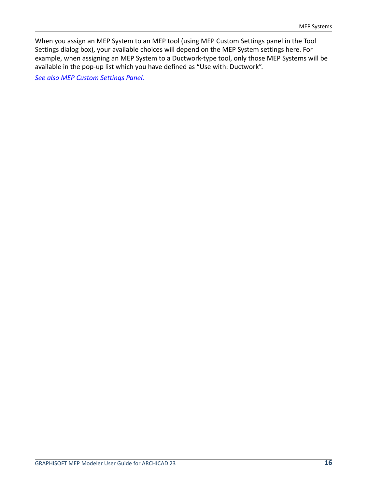When you assign an MEP System to an MEP tool (using MEP Custom Settings panel in the Tool Settings dialog box), your available choices will depend on the MEP System settings here. For example, when assigning an MEP System to a Ductwork-type tool, only those MEP Systems will be available in the pop-up list which you have defined as "Use with: Ductwork".

*See also [MEP Custom Settings Panel](#page-18-0).*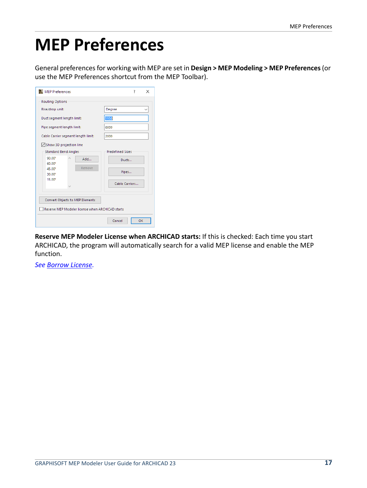# <span id="page-16-0"></span>**MEP Preferences**

General preferences for working with MEP are set in **Design > MEP Modeling > MEP Preferences** (or use the MEP Preferences shortcut from the MEP Toolbar).

| MEP Preferences                                  | 7<br>×                  |  |  |  |
|--------------------------------------------------|-------------------------|--|--|--|
| <b>Routing Options</b>                           |                         |  |  |  |
| Rise/drop unit:                                  | Degree                  |  |  |  |
| Duct segment length limit:                       | 1950                    |  |  |  |
| Pipe segment length limit:                       | 6000                    |  |  |  |
| Cable Carrier segment length limit:              | 2000                    |  |  |  |
| Show 3D projection line                          |                         |  |  |  |
| <b>Standard Bend Angles</b>                      | <b>Predefined Sizes</b> |  |  |  |
| 90.00°<br>Add                                    | Ducts                   |  |  |  |
| 60.00°<br>Remove<br>45.00°                       |                         |  |  |  |
| 30.00°                                           | Pipes                   |  |  |  |
| $15.00^{\circ}$                                  | Cable Carriers          |  |  |  |
|                                                  |                         |  |  |  |
|                                                  |                         |  |  |  |
| Convert Objects to MEP Elements                  |                         |  |  |  |
| Reserve MEP Modeler license when ARCHICAD starts |                         |  |  |  |
|                                                  | Cancel<br>OK            |  |  |  |

**Reserve MEP Modeler License when ARCHICAD starts:** If this is checked: Each time you start ARCHICAD, the program will automatically search for a valid MEP license and enable the MEP function.

*See [Borrow License.](#page-6-3)*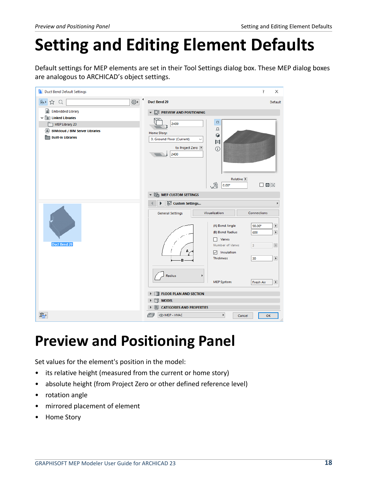# <span id="page-17-0"></span>**Setting and Editing Element Defaults**

Default settings for MEP elements are set in their Tool Settings dialog box. These MEP dialog boxes are analogous to ARCHICAD's object settings.

| Δ<br><b>Duct Bend Default Settings</b>                                                                                                                                                            | ?<br>×                                                                                                                                                                                                                                                                                                                                                                                                                                                |
|---------------------------------------------------------------------------------------------------------------------------------------------------------------------------------------------------|-------------------------------------------------------------------------------------------------------------------------------------------------------------------------------------------------------------------------------------------------------------------------------------------------------------------------------------------------------------------------------------------------------------------------------------------------------|
| $\{^{r\alpha}_{Q,3}\}$<br>β→<br>Q<br>☆                                                                                                                                                            | <b>Duct Bend 20</b><br>Default                                                                                                                                                                                                                                                                                                                                                                                                                        |
| 圖<br><b>Embedded Library</b><br>$\vee$ $\boxed{\hat{\pi}}$ Linked Libraries<br>MEP Library 20<br>$\langle \hat{m} \rangle$<br><b>BIMcloud / BIM Server Libraries</b><br><b>Built-in Libraries</b> | $\Box$ PREVIEW AND POSITIONING<br>$\Box$<br>2400<br>点<br>Home Story:<br>Û<br>0. Ground Floor (Current)<br>$\checkmark$<br>Ħ<br>to Project Zero<br>$\odot$<br>2400<br>Relative <b>P</b><br>$\boxed{\phantom{1}}$<br>嗯<br>$0.00^\circ$                                                                                                                                                                                                                  |
| <b>Duct Bend 20</b>                                                                                                                                                                               | $\triangledown$ $\frac{\sum_{i=1}^{n}$ MEP CUSTOM SETTINGS<br>隔 Custom Settings<br>Visualization<br>Connections<br><b>General Settings</b><br>$\blacktriangleright$<br>(A) Bend Angle<br>90.00°<br>$\blacktriangleright$<br>(B) Bend Radius<br>600<br>Vanes<br>$\,$ $\,$<br>Number of Vanes<br>3<br>$\nabla$ Insulation<br>$\blacktriangleright$<br><b>Thickness</b><br>30<br>B<br>Radius<br>MEP System:<br>$\blacktriangleright$<br><b>Fresh Air</b> |
|                                                                                                                                                                                                   | <b>FLOOR PLAN AND SECTION</b><br>A<br><b>MODEL</b><br>m                                                                                                                                                                                                                                                                                                                                                                                               |
| ₽                                                                                                                                                                                                 | <b>CATEGORIES AND PROPERTIES</b><br>圁<br><b>OMEP - HVAC</b><br><u>lany</u><br>Þ<br>OK<br>Cancel                                                                                                                                                                                                                                                                                                                                                       |

### <span id="page-17-1"></span>**Preview and Positioning Panel**

Set values for the element's position in the model:

- its relative height (measured from the current or home story)
- absolute height (from Project Zero or other defined reference level)
- rotation angle
- mirrored placement of element
- Home Story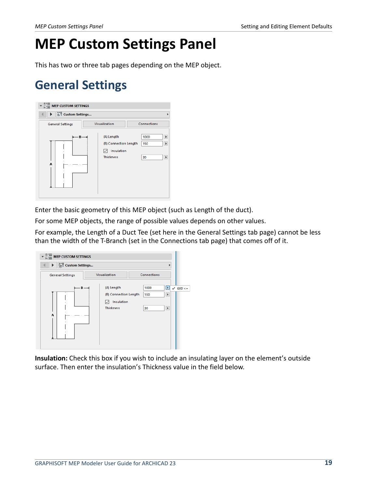### <span id="page-18-0"></span>**MEP Custom Settings Panel**

This has two or three tab pages depending on the MEP object.

### <span id="page-18-1"></span>**General Settings**



Enter the basic geometry of this MEP object (such as Length of the duct).

For some MEP objects, the range of possible values depends on other values.

For example, the Length of a Duct Tee (set here in the General Settings tab page) cannot be less than the width of the T-Branch (set in the Connections tab page) that comes off of it.



**Insulation:** Check this box if you wish to include an insulating layer on the element's outside surface. Then enter the insulation's Thickness value in the field below.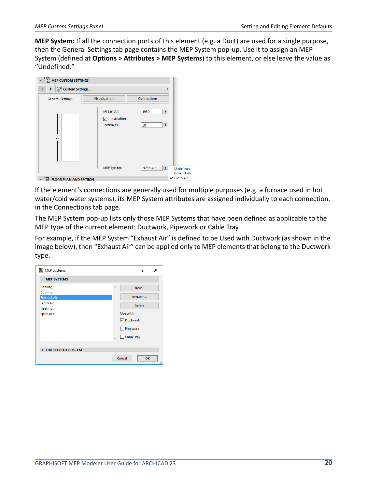**MEP System:** If all the connection ports of this element (e.g. a Duct) are used for a single purpose, then the General Settings tab page contains the MEP System pop-up. Use it to assign an MEP System (defined at **Options > Attributes > MEP Systems**) to this element, or else leave the value as "Undefined."



If the element's connections are generally used for multiple purposes (e.g. a furnace used in hot water/cold water systems), its MEP System attributes are assigned individually to each connection, in the Connections tab page.

The MEP System pop-up lists only those MEP Systems that have been defined as applicable to the MEP type of the current element: Ductwork, Pipework or Cable Tray.

For example, if the MEP System "Exhaust Air" is defined to be Used with Ductwork (as shown in the image below), then "Exhaust Air" can be applied only to MEP elements that belong to the Ductwork type.

| MEP Systems                 |                 | ?                 | ×   |
|-----------------------------|-----------------|-------------------|-----|
| <b>MEP SYSTEMS</b>          |                 |                   |     |
| Cabling                     | $\mathcal{O}_1$ | New               |     |
| Cooling                     |                 |                   |     |
| <b>Exhaust Air</b>          |                 | Rename            |     |
| <b>Fresh Air</b>            |                 | <b>Delete</b>     |     |
| <b>Heating</b>              |                 |                   |     |
| Sprinkler                   |                 | Use with:         |     |
|                             |                 | <b>▽</b> Ductwork |     |
|                             |                 | Pipework          |     |
|                             |                 | Cable Tray        |     |
|                             |                 |                   |     |
| <b>EDIT SELECTED SYSTEM</b> |                 |                   |     |
|                             |                 | Cancel<br>OK      | иř, |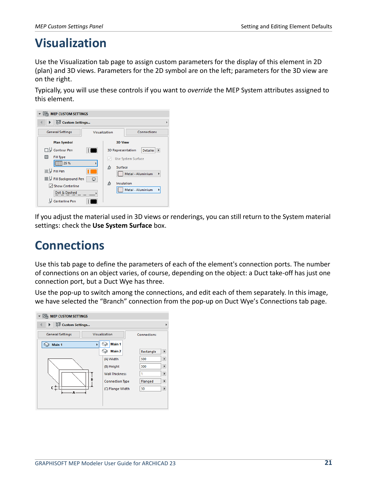### <span id="page-20-0"></span>**Visualization**

Use the Visualization tab page to assign custom parameters for the display of this element in 2D (plan) and 3D views. Parameters for the 2D symbol are on the left; parameters for the 3D view are on the right.

Typically, you will use these controls if you want to *override* the MEP System attributes assigned to this element.



If you adjust the material used in 3D views or renderings, you can still return to the System material settings: check the **Use System Surface** box.

### <span id="page-20-1"></span>**Connections**

Use this tab page to define the parameters of each of the element's connection ports. The number of connections on an object varies, of course, depending on the object: a Duct take-off has just one connection port, but a Duct Wye has three.

Use the pop-up to switch among the connections, and edit each of them separately. In this image, we have selected the "Branch" connection from the pop-up on Duct Wye's Connections tab page.

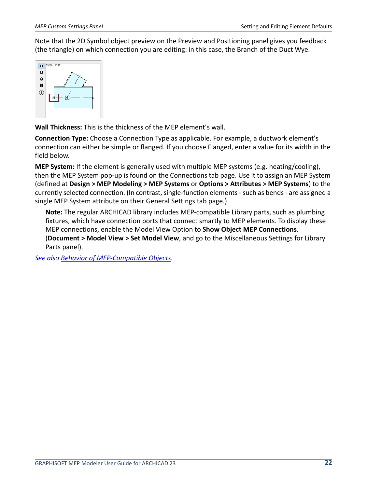Note that the 2D Symbol object preview on the Preview and Positioning panel gives you feedback (the triangle) on which connection you are editing: in this case, the Branch of the Duct Wye.



**Wall Thickness:** This is the thickness of the MEP element's wall.

**Connection Type:** Choose a Connection Type as applicable. For example, a ductwork element's connection can either be simple or flanged. If you choose Flanged, enter a value for its width in the field below.

**MEP System:** If the element is generally used with multiple MEP systems (e.g. heating/cooling), then the MEP System pop-up is found on the Connections tab page. Use it to assign an MEP System (defined at **Design > MEP Modeling > MEP Systems** or **Options > Attributes > MEP Systems**) to the currently selected connection. (In contrast, single-function elements - such as bends - are assigned a single MEP System attribute on their General Settings tab page.)

**Note:** The regular ARCHICAD library includes MEP-compatible Library parts, such as plumbing fixtures, which have connection ports that connect smartly to MEP elements. To display these MEP connections, enable the Model View Option to **Show Object MEP Connections**.

(**Document > Model View > Set Model View**, and go to the Miscellaneous Settings for Library Parts panel).

*See also [Behavior of MEP-Compatible Objects](#page-42-0).*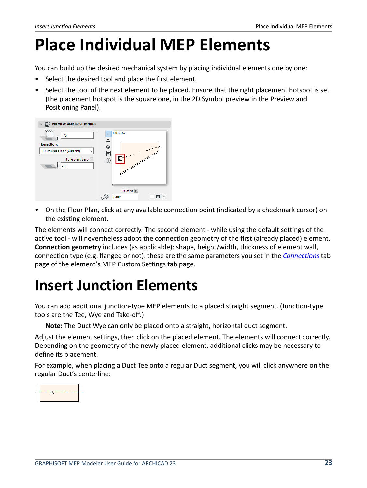# <span id="page-22-0"></span>**Place Individual MEP Elements**

You can build up the desired mechanical system by placing individual elements one by one:

- Select the desired tool and place the first element.
- Select the tool of the next element to be placed. Ensure that the right placement hotspot is set (the placement hotspot is the square one, in the 2D Symbol preview in the Preview and Positioning Panel).



• On the Floor Plan, click at any available connection point (indicated by a checkmark cursor) on the existing element.

The elements will connect correctly. The second element - while using the default settings of the active tool - will nevertheless adopt the connection geometry of the first (already placed) element. **Connection geometry** includes (as applicable): shape, height/width, thickness of element wall, connection type (e.g. flanged or not): these are the same parameters you set in the *[Connections](#page-20-1)* tab page of the element's MEP Custom Settings tab page.

## <span id="page-22-1"></span>**Insert Junction Elements**

You can add additional junction-type MEP elements to a placed straight segment. (Junction-type tools are the Tee, Wye and Take-off.)

**Note:** The Duct Wye can only be placed onto a straight, horizontal duct segment.

Adjust the element settings, then click on the placed element. The elements will connect correctly. Depending on the geometry of the newly placed element, additional clicks may be necessary to define its placement.

For example, when placing a Duct Tee onto a regular Duct segment, you will click anywhere on the regular Duct's centerline:

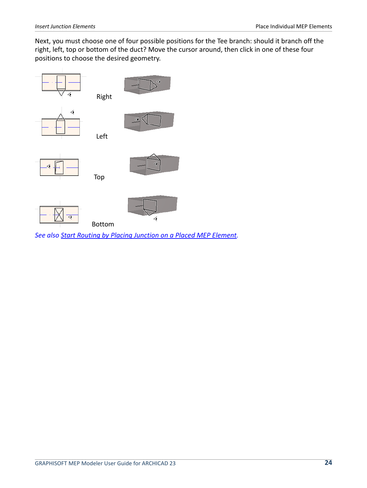Next, you must choose one of four possible positions for the Tee branch: should it branch off the right, left, top or bottom of the duct? Move the cursor around, then click in one of these four positions to choose the desired geometry.



*See also [Start Routing by Placing Junction on a Placed MEP Element.](#page-30-0)*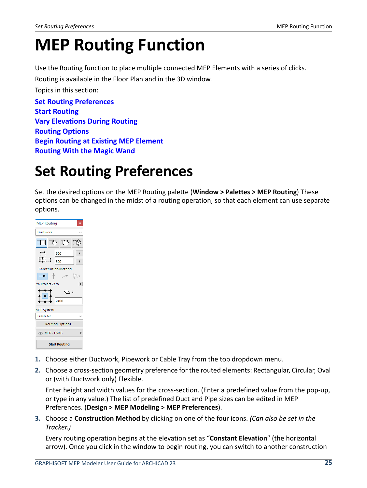# <span id="page-24-0"></span>**MEP Routing Function**

Use the Routing function to place multiple connected MEP Elements with a series of clicks.

Routing is available in the Floor Plan and in the 3D window.

Topics in this section:

**[Set Routing Preferences](#page-24-1) [Start Routing](#page-25-0) [Vary Elevations During Routing](#page-26-0) [Routing Options](#page-27-0) [Begin Routing at Existing MEP Element](#page-29-0) [Routing With the Magic Wand](#page-31-0)**

## <span id="page-24-1"></span>**Set Routing Preferences**

Set the desired options on the MEP Routing palette (**Window > Palettes > MEP Routing**) These options can be changed in the midst of a routing operation, so that each element can use separate options.



- **1.** Choose either Ductwork, Pipework or Cable Tray from the top dropdown menu.
- **2.** Choose a cross-section geometry preference for the routed elements: Rectangular, Circular, Oval or (with Ductwork only) Flexible.

Enter height and width values for the cross-section. (Enter a predefined value from the pop-up, or type in any value.) The list of predefined Duct and Pipe sizes can be edited in MEP Preferences. (**Design > MEP Modeling > MEP Preferences**).

**3.** Choose a **Construction Method** by clicking on one of the four icons. *(Can also be set in the Tracker.)*

Every routing operation begins at the elevation set as "**Constant Elevation**" (the horizontal arrow). Once you click in the window to begin routing, you can switch to another construction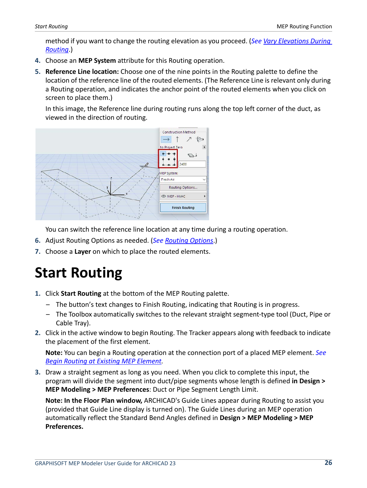method if you want to change the routing elevation as you proceed. (*See [Vary Elevations During](#page-26-0)  [Routing](#page-26-0)*.)

- **4.** Choose an **MEP System** attribute for this Routing operation.
- **5. Reference Line location:** Choose one of the nine points in the Routing palette to define the location of the reference line of the routed elements. (The Reference Line is relevant only during a Routing operation, and indicates the anchor point of the routed elements when you click on screen to place them.)

In this image, the Reference line during routing runs along the top left corner of the duct, as viewed in the direction of routing.



You can switch the reference line location at any time during a routing operation.

- **6.** Adjust Routing Options as needed. (*See [Routing Options](#page-27-0)*.)
- **7.** Choose a **Layer** on which to place the routed elements.

## <span id="page-25-0"></span>**Start Routing**

- **1.** Click **Start Routing** at the bottom of the MEP Routing palette.
	- The button's text changes to Finish Routing, indicating that Routing is in progress.
	- The Toolbox automatically switches to the relevant straight segment-type tool (Duct, Pipe or Cable Tray).
- **2.** Click in the active window to begin Routing. The Tracker appears along with feedback to indicate the placement of the first element.

**Note:** You can begin a Routing operation at the connection port of a placed MEP element. *See [Begin Routing at Existing MEP Element.](#page-29-0)*

**3.** Draw a straight segment as long as you need. When you click to complete this input, the program will divide the segment into duct/pipe segments whose length is defined **in Design > MEP Modeling > MEP Preferences**: Duct or Pipe Segment Length Limit.

**Note: In the Floor Plan window,** ARCHICAD's Guide Lines appear during Routing to assist you (provided that Guide Line display is turned on). The Guide Lines during an MEP operation automatically reflect the Standard Bend Angles defined in **Design > MEP Modeling > MEP Preferences.**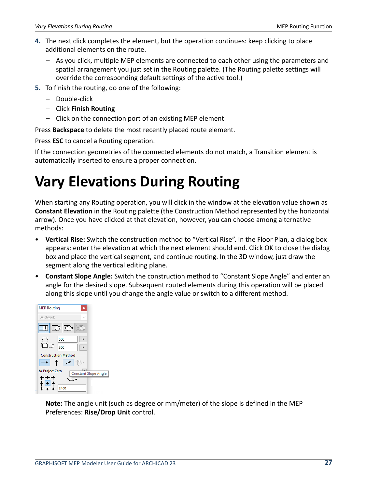- **4.** The next click completes the element, but the operation continues: keep clicking to place additional elements on the route.
	- As you click, multiple MEP elements are connected to each other using the parameters and spatial arrangement you just set in the Routing palette. (The Routing palette settings will override the corresponding default settings of the active tool.)
- **5.** To finish the routing, do one of the following:
	- Double-click
	- Click **Finish Routing**
	- Click on the connection port of an existing MEP element

Press **Backspace** to delete the most recently placed route element.

Press **ESC** to cancel a Routing operation.

If the connection geometries of the connected elements do not match, a Transition element is automatically inserted to ensure a proper connection.

## <span id="page-26-0"></span>**Vary Elevations During Routing**

When starting any Routing operation, you will click in the window at the elevation value shown as **Constant Elevation** in the Routing palette (the Construction Method represented by the horizontal arrow). Once you have clicked at that elevation, however, you can choose among alternative methods:

- **Vertical Rise:** Switch the construction method to "Vertical Rise". In the Floor Plan, a dialog box appears: enter the elevation at which the next element should end. Click OK to close the dialog box and place the vertical segment, and continue routing. In the 3D window, just draw the segment along the vertical editing plane.
- **Constant Slope Angle:** Switch the construction method to "Constant Slope Angle" and enter an angle for the desired slope. Subsequent routed elements during this operation will be placed along this slope until you change the angle value or switch to a different method.



**Note:** The angle unit (such as degree or mm/meter) of the slope is defined in the MEP Preferences: **Rise/Drop Unit** control.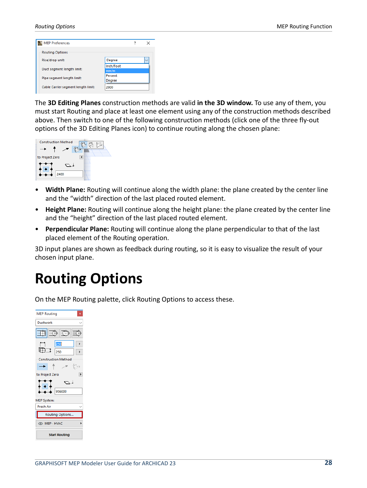| <b>MEP Preferences</b>                |           | ×            |
|---------------------------------------|-----------|--------------|
| <b>Routing Options</b>                |           |              |
| Rise/drop unit:                       | Degree    | $\checkmark$ |
|                                       | Inch/Foot |              |
| Duct segment length limit:            | mm/m      |              |
| Percent<br>Pipe segment length limit: |           |              |
|                                       | Degree    |              |
| Cable Carrier segment length limit:   | 2000      |              |

The **3D Editing Planes** construction methods are valid **in the 3D window.** To use any of them, you must start Routing and place at least one element using any of the construction methods described above. Then switch to one of the following construction methods (click one of the three fly-out options of the 3D Editing Planes icon) to continue routing along the chosen plane:



- **Width Plane:** Routing will continue along the width plane: the plane created by the center line and the "width" direction of the last placed routed element.
- **Height Plane:** Routing will continue along the height plane: the plane created by the center line and the "height" direction of the last placed routed element.
- **Perpendicular Plane:** Routing will continue along the plane perpendicular to that of the last placed element of the Routing operation.

3D input planes are shown as feedback during routing, so it is easy to visualize the result of your chosen input plane.

### <span id="page-27-0"></span>**Routing Options**

On the MEP Routing palette, click Routing Options to access these.

| <b>MEP Routing</b><br>x    |  |  |
|----------------------------|--|--|
| <b>Ductwork</b>            |  |  |
| モモ市<br>⊪m                  |  |  |
| 250                        |  |  |
| ⊞⊐<br>250                  |  |  |
| <b>Construction Method</b> |  |  |
| ¶∕r                        |  |  |
| to Project Zero            |  |  |
| 956000                     |  |  |
| <b>MEP System:</b>         |  |  |
| Fresh Air                  |  |  |
| Routing Options            |  |  |
| <b>O MEP - HVAC</b>        |  |  |
| <b>Start Routing</b>       |  |  |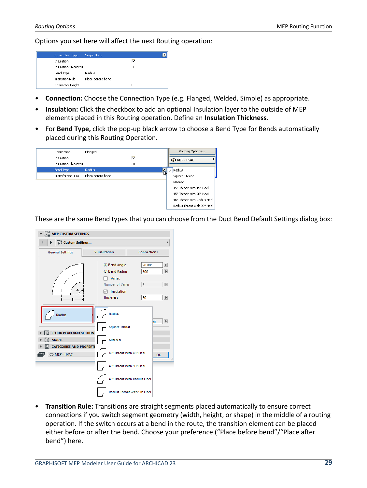Options you set here will affect the next Routing operation:

| Connection Type        | Simple Body       |    |  |
|------------------------|-------------------|----|--|
| Insulation             |                   | v  |  |
| Insulation Thickness   |                   | 30 |  |
| Bend Type              | Radius            |    |  |
| <b>Transition Rule</b> | Place before bend |    |  |
| Connector Height       |                   | Ω  |  |

- **Connection:** Choose the Connection Type (e.g. Flanged, Welded, Simple) as appropriate.
- **Insulation:** Click the checkbox to add an optional Insulation layer to the outside of MEP elements placed in this Routing operation. Define an **Insulation Thickness**.
- For **Bend Type,** click the pop-up black arrow to choose a Bend Type for Bends automatically placed during this Routing Operation.



These are the same Bend types that you can choose from the Duct Bend Default Settings dialog box:

| $\frac{e^{3}e^{2}}{h^{3}e^{2}}$ MEP CUSTOM SETTINGS                |                                                                                                 |                                                                                                                                                |
|--------------------------------------------------------------------|-------------------------------------------------------------------------------------------------|------------------------------------------------------------------------------------------------------------------------------------------------|
| 유류 Custom Settings                                                 |                                                                                                 |                                                                                                                                                |
| <b>General Settings</b>                                            | Visualization                                                                                   | Connections                                                                                                                                    |
| B.                                                                 | (A) Bend Angle<br>(B) Bend Radius<br>Vanes<br>Number of Vanes<br>Insulation<br><b>Thickness</b> | $\blacktriangleright$<br>$90.00$ <sup>*</sup><br>$\blacktriangleright$<br>600<br>$\overline{3}$<br>$\mathbb{F}$<br>30<br>$\blacktriangleright$ |
| Radius<br><b>FLOOR PLAN AND SECTION</b><br><b>MODEL</b>            | Radius<br><b>Square Throat</b><br>Mitered                                                       | Air<br>$\blacktriangleright$                                                                                                                   |
| <b>CATEGORIES AND PROPERTI</b><br><b>OMEP - HVAC</b><br>$\sqrt{2}$ | 45° Throat with 45° Heel<br>45° Throat with 90° Heel                                            | OK                                                                                                                                             |
|                                                                    | 45° Throat with Radius Heel<br>Radius Throat with 90° Heel                                      |                                                                                                                                                |

• **Transition Rule:** Transitions are straight segments placed automatically to ensure correct connections if you switch segment geometry (width, height, or shape) in the middle of a routing operation. If the switch occurs at a bend in the route, the transition element can be placed either before or after the bend. Choose your preference ("Place before bend"/"Place after bend") here.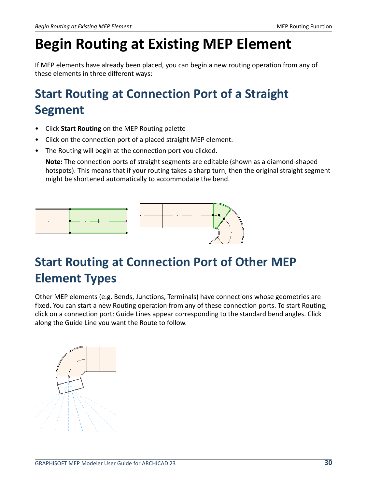## <span id="page-29-0"></span>**Begin Routing at Existing MEP Element**

If MEP elements have already been placed, you can begin a new routing operation from any of these elements in three different ways:

### <span id="page-29-1"></span>**Start Routing at Connection Port of a Straight Segment**

- Click **Start Routing** on the MEP Routing palette
- Click on the connection port of a placed straight MEP element.
- The Routing will begin at the connection port you clicked.

**Note:** The connection ports of straight segments are editable (shown as a diamond-shaped hotspots). This means that if your routing takes a sharp turn, then the original straight segment might be shortened automatically to accommodate the bend.



### <span id="page-29-2"></span>**Start Routing at Connection Port of Other MEP Element Types**

Other MEP elements (e.g. Bends, Junctions, Terminals) have connections whose geometries are fixed. You can start a new Routing operation from any of these connection ports. To start Routing, click on a connection port: Guide Lines appear corresponding to the standard bend angles. Click along the Guide Line you want the Route to follow.

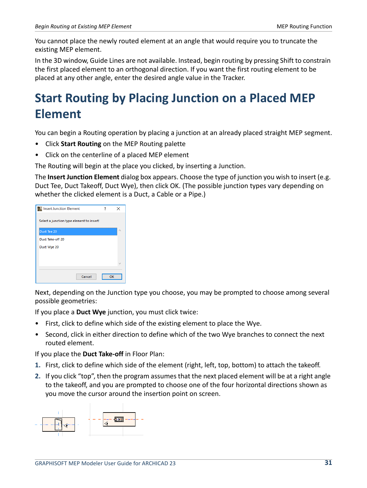You cannot place the newly routed element at an angle that would require you to truncate the existing MEP element.

In the 3D window, Guide Lines are not available. Instead, begin routing by pressing Shift to constrain the first placed element to an orthogonal direction. If you want the first routing element to be placed at any other angle, enter the desired angle value in the Tracker.

### <span id="page-30-0"></span>**Start Routing by Placing Junction on a Placed MEP Element**

You can begin a Routing operation by placing a junction at an already placed straight MEP segment.

- Click **Start Routing** on the MEP Routing palette
- Click on the centerline of a placed MEP element

The Routing will begin at the place you clicked, by inserting a Junction.

The **Insert Junction Element** dialog box appears. Choose the type of junction you wish to insert (e.g. Duct Tee, Duct Takeoff, Duct Wye), then click OK. (The possible junction types vary depending on whether the clicked element is a Duct, a Cable or a Pipe.)

| <b>Insert Junction Element</b>            | 7 | ×  |
|-------------------------------------------|---|----|
| Select a junction type element to insert! |   |    |
| Duct Tee 20                               |   | ۸  |
| Duct Take-off 20                          |   |    |
| Duct Wye 20                               |   |    |
|                                           |   |    |
|                                           |   | w  |
|                                           |   |    |
| Cancel                                    |   | OK |

Next, depending on the Junction type you choose, you may be prompted to choose among several possible geometries:

If you place a **Duct Wye** junction, you must click twice:

- First, click to define which side of the existing element to place the Wye.
- Second, click in either direction to define which of the two Wye branches to connect the next routed element.

If you place the **Duct Take-off** in Floor Plan:

- **1.** First, click to define which side of the element (right, left, top, bottom) to attach the takeoff.
- **2.** If you click "top", then the program assumes that the next placed element will be at a right angle to the takeoff, and you are prompted to choose one of the four horizontal directions shown as you move the cursor around the insertion point on screen.

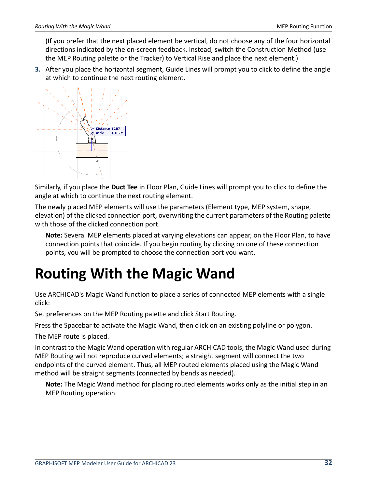(If you prefer that the next placed element be vertical, do not choose any of the four horizontal directions indicated by the on-screen feedback. Instead, switch the Construction Method (use the MEP Routing palette or the Tracker) to Vertical Rise and place the next element.)

**3.** After you place the horizontal segment, Guide Lines will prompt you to click to define the angle at which to continue the next routing element.



Similarly, if you place the **Duct Tee** in Floor Plan, Guide Lines will prompt you to click to define the angle at which to continue the next routing element.

The newly placed MEP elements will use the parameters (Element type, MEP system, shape, elevation) of the clicked connection port, overwriting the current parameters of the Routing palette with those of the clicked connection port.

**Note:** Several MEP elements placed at varying elevations can appear, on the Floor Plan, to have connection points that coincide. If you begin routing by clicking on one of these connection points, you will be prompted to choose the connection port you want.

## <span id="page-31-0"></span>**Routing With the Magic Wand**

Use ARCHICAD's Magic Wand function to place a series of connected MEP elements with a single click:

Set preferences on the MEP Routing palette and click Start Routing.

Press the Spacebar to activate the Magic Wand, then click on an existing polyline or polygon.

The MEP route is placed.

In contrast to the Magic Wand operation with regular ARCHICAD tools, the Magic Wand used during MEP Routing will not reproduce curved elements; a straight segment will connect the two endpoints of the curved element. Thus, all MEP routed elements placed using the Magic Wand method will be straight segments (connected by bends as needed).

**Note:** The Magic Wand method for placing routed elements works only as the initial step in an MEP Routing operation.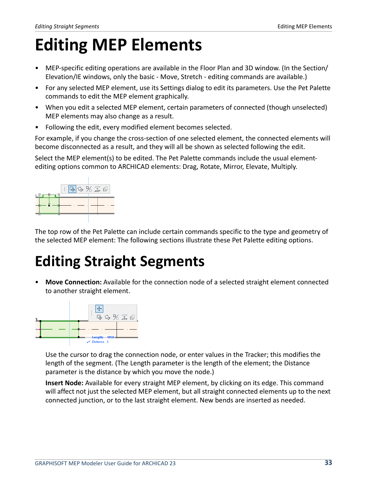# <span id="page-32-0"></span>**Editing MEP Elements**

- MEP-specific editing operations are available in the Floor Plan and 3D window. (In the Section/ Elevation/IE windows, only the basic - Move, Stretch - editing commands are available.)
- For any selected MEP element, use its Settings dialog to edit its parameters. Use the Pet Palette commands to edit the MEP element graphically.
- When you edit a selected MEP element, certain parameters of connected (though unselected) MEP elements may also change as a result.
- Following the edit, every modified element becomes selected.

For example, if you change the cross-section of one selected element, the connected elements will become disconnected as a result, and they will all be shown as selected following the edit.

Select the MEP element(s) to be edited. The Pet Palette commands include the usual elementediting options common to ARCHICAD elements: Drag, Rotate, Mirror, Elevate, Multiply.



The top row of the Pet Palette can include certain commands specific to the type and geometry of the selected MEP element: The following sections illustrate these Pet Palette editing options.

### <span id="page-32-1"></span>**Editing Straight Segments**

• **Move Connection:** Available for the connection node of a selected straight element connected to another straight element.



Use the cursor to drag the connection node, or enter values in the Tracker; this modifies the length of the segment. (The Length parameter is the length of the element; the Distance parameter is the distance by which you move the node.)

**Insert Node:** Available for every straight MEP element, by clicking on its edge. This command will affect not just the selected MEP element, but all straight connected elements up to the next connected junction, or to the last straight element. New bends are inserted as needed.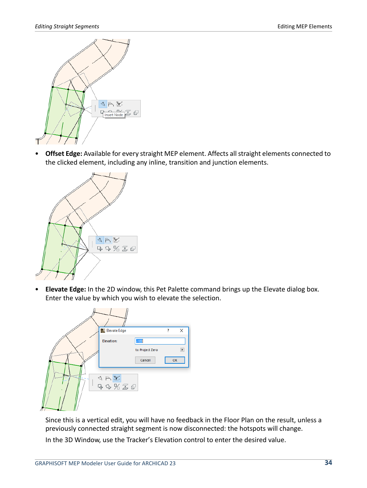

• **Offset Edge:** Available for every straight MEP element. Affects all straight elements connected to the clicked element, including any inline, transition and junction elements.



• **Elevate Edge:** In the 2D window, this Pet Palette command brings up the Elevate dialog box. Enter the value by which you wish to elevate the selection.



Since this is a vertical edit, you will have no feedback in the Floor Plan on the result, unless a previously connected straight segment is now disconnected: the hotspots will change. In the 3D Window, use the Tracker's Elevation control to enter the desired value.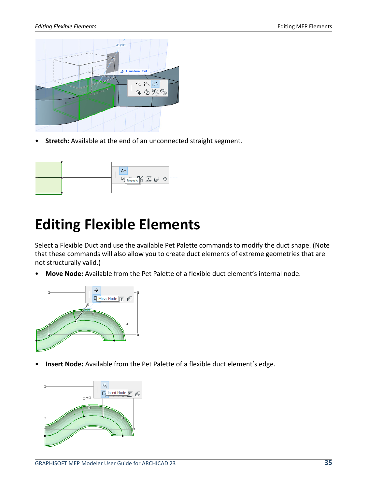

• **Stretch:** Available at the end of an unconnected straight segment.

### <span id="page-34-0"></span>**Editing Flexible Elements**

Select a Flexible Duct and use the available Pet Palette commands to modify the duct shape. (Note that these commands will also allow you to create duct elements of extreme geometries that are not structurally valid.)

• **Move Node:** Available from the Pet Palette of a flexible duct element's internal node.



• **Insert Node:** Available from the Pet Palette of a flexible duct element's edge.

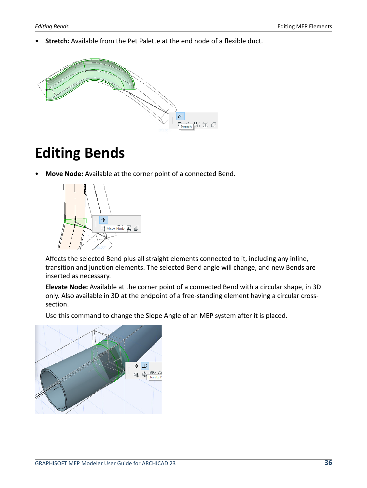• **Stretch:** Available from the Pet Palette at the end node of a flexible duct.



### <span id="page-35-0"></span>**Editing Bends**

• **Move Node:** Available at the corner point of a connected Bend.



Affects the selected Bend plus all straight elements connected to it, including any inline, transition and junction elements. The selected Bend angle will change, and new Bends are inserted as necessary.

**Elevate Node:** Available at the corner point of a connected Bend with a circular shape, in 3D only. Also available in 3D at the endpoint of a free-standing element having a circular crosssection.

Use this command to change the Slope Angle of an MEP system after it is placed.

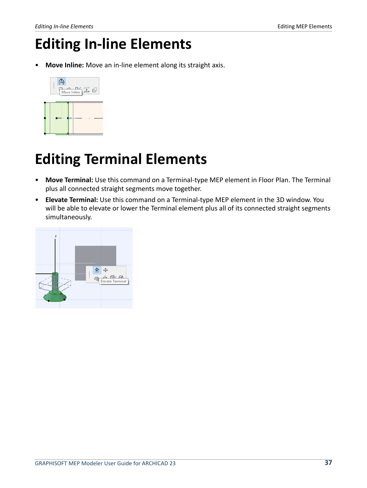### <span id="page-36-0"></span>**Editing In-line Elements**

• **Move Inline:** Move an in-line element along its straight axis.



## <span id="page-36-1"></span>**Editing Terminal Elements**

- **Move Terminal:** Use this command on a Terminal-type MEP element in Floor Plan. The Terminal plus all connected straight segments move together.
- **Elevate Terminal:** Use this command on a Terminal-type MEP element in the 3D window. You will be able to elevate or lower the Terminal element plus all of its connected straight segments simultaneously.

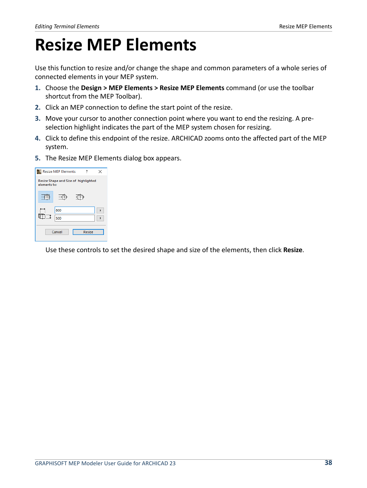# <span id="page-37-0"></span>**Resize MEP Elements**

Use this function to resize and/or change the shape and common parameters of a whole series of connected elements in your MEP system.

- **1.** Choose the **Design > MEP Elements > Resize MEP Elements** command (or use the toolbar shortcut from the MEP Toolbar).
- **2.** Click an MEP connection to define the start point of the resize.
- **3.** Move your cursor to another connection point where you want to end the resizing. A preselection highlight indicates the part of the MEP system chosen for resizing.
- **4.** Click to define this endpoint of the resize. ARCHICAD zooms onto the affected part of the MEP system.
- **5.** The Resize MEP Elements dialog box appears.

|                                                      | <b>Resize MEP Elements</b> |  |  |
|------------------------------------------------------|----------------------------|--|--|
| Resize Shape and Size of highlighted<br>elements to: |                            |  |  |
|                                                      |                            |  |  |
|                                                      | 800<br>500                 |  |  |
| Resize<br>Cancel                                     |                            |  |  |

Use these controls to set the desired shape and size of the elements, then click **Resize**.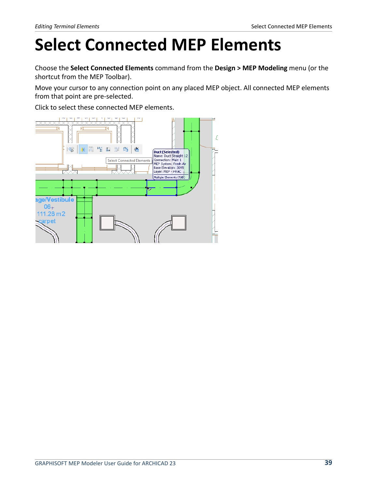# <span id="page-38-0"></span>**Select Connected MEP Elements**

Choose the **Select Connected Elements** command from the **Design > MEP Modeling** menu (or the shortcut from the MEP Toolbar).

Move your cursor to any connection point on any placed MEP object. All connected MEP elements from that point are pre-selected.

Click to select these connected MEP elements.

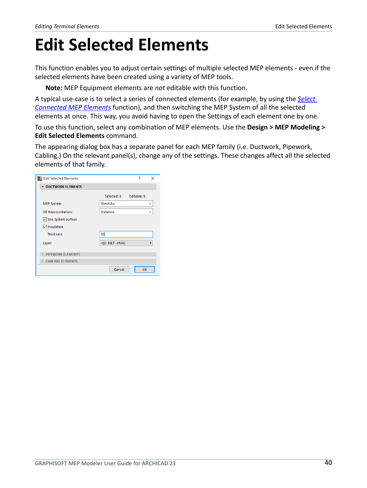# <span id="page-39-0"></span>**Edit Selected Elements**

This function enables you to adjust certain settings of multiple selected MEP elements - even if the selected elements have been created using a variety of MEP tools.

**Note:** MEP Equipment elements are *not* editable with this function.

A typical use-case is to select a series of connected elements (for example, by using the *[Select](#page-38-0)  [Connected MEP Elements](#page-38-0)* function), and then switching the MEP System of all the selected elements at once. This way, you avoid having to open the Settings of each element one by one.

To use this function, select any combination of MEP elements. Use the **Design > MEP Modeling > Edit Selected Elements** command.

The appearing dialog box has a separate panel for each MEP family (i.e. Ductwork, Pipework, Cabling.) On the relevant panel(s), change any of the settings. These changes affect all the selected elements of that family.

| <b>Edit Selected Elements</b> | ?<br>×                           |
|-------------------------------|----------------------------------|
| <b>DUCTWORK ELEMENTS</b>      |                                  |
|                               |                                  |
|                               | Selected: 8<br>Editable: 8       |
| <b>MEP System:</b>            | <b>Fresh Air</b><br>$\checkmark$ |
| 3D Representation:            | <b>Detailed</b><br>$\checkmark$  |
| ○ Use System Surface          |                                  |
| <b>√</b> Insulation           |                                  |
| <b>Thickness:</b>             | 30                               |
| Layer:                        | <b>OD MEP - HVAC</b>             |
| <b>PIPEWORK ELEMENTS</b><br>ь |                                  |
| CABLING ELEMENTS              |                                  |
|                               | Cancel<br>OK                     |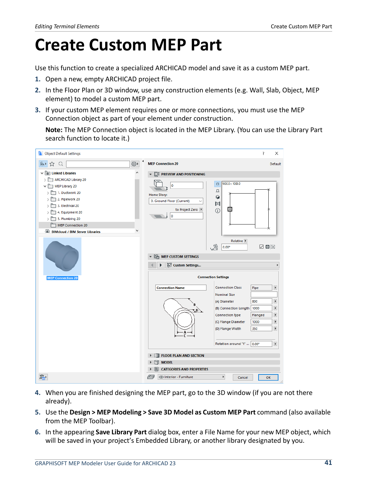# <span id="page-40-0"></span>**Create Custom MEP Part**

Use this function to create a specialized ARCHICAD model and save it as a custom MEP part.

- **1.** Open a new, empty ARCHICAD project file.
- **2.** In the Floor Plan or 3D window, use any construction elements (e.g. Wall, Slab, Object, MEP element) to model a custom MEP part.
- **3.** If your custom MEP element requires one or more connections, you must use the MEP Connection object as part of your element under construction.

**Note:** The MEP Connection object is located in the MEP Library. (You can use the Library Part search function to locate it.)



- **4.** When you are finished designing the MEP part, go to the 3D window (if you are not there already).
- **5.** Use the **Design > MEP Modeling > Save 3D Model as Custom MEP Part** command (also available from the MEP Toolbar).
- **6.** In the appearing **Save Library Part** dialog box, enter a File Name for your new MEP object, which will be saved in your project's Embedded Library, or another library designated by you.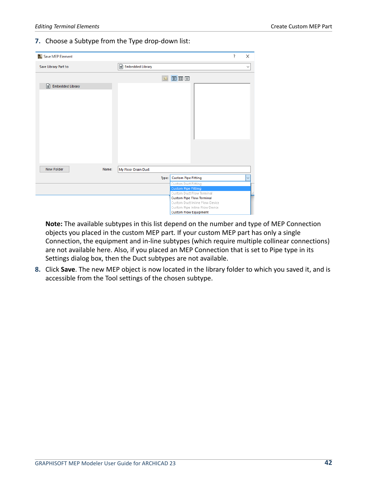#### **7.** Choose a Subtype from the Type drop-down list:

| Save MEP Element             |       |                     |                                                                  | ? | ×            |
|------------------------------|-------|---------------------|------------------------------------------------------------------|---|--------------|
| Save Library Part to:        |       | Embedded Library    |                                                                  |   | $\checkmark$ |
|                              |       | t)                  | 面图目                                                              |   |              |
| 圖<br><b>Embedded Library</b> |       |                     |                                                                  |   |              |
|                              |       |                     |                                                                  |   |              |
|                              |       |                     |                                                                  |   |              |
|                              |       |                     |                                                                  |   |              |
|                              |       |                     |                                                                  |   |              |
|                              |       |                     |                                                                  |   |              |
|                              |       |                     |                                                                  |   |              |
|                              |       |                     |                                                                  |   |              |
|                              |       |                     |                                                                  |   |              |
|                              |       |                     |                                                                  |   |              |
|                              |       |                     |                                                                  |   |              |
|                              |       |                     |                                                                  |   |              |
|                              |       |                     |                                                                  |   |              |
|                              |       |                     |                                                                  |   |              |
|                              |       |                     |                                                                  |   |              |
|                              |       |                     |                                                                  |   |              |
|                              |       |                     |                                                                  |   |              |
| <b>New Folder</b>            | Name: | My Floor Drain Duct |                                                                  |   |              |
|                              |       | Type:               | <b>Custom Pipe Fitting</b>                                       |   |              |
|                              |       |                     | Custom Duct Fitting                                              |   |              |
|                              |       |                     | <b>Custom Pipe Fitting</b>                                       |   |              |
|                              |       |                     | Custom Duct Flow Terminal                                        |   |              |
|                              |       |                     | <b>Custom Pipe Flow Terminal</b>                                 |   |              |
|                              |       |                     | Custom Duct Inline Flow Device<br>Custom Pipe Inline Flow Device |   |              |

**Note:** The available subtypes in this list depend on the number and type of MEP Connection objects you placed in the custom MEP part. If your custom MEP part has only a single Connection, the equipment and in-line subtypes (which require multiple collinear connections) are not available here. Also, if you placed an MEP Connection that is set to Pipe type in its Settings dialog box, then the Duct subtypes are not available.

**8.** Click **Save**. The new MEP object is now located in the library folder to which you saved it, and is accessible from the Tool settings of the chosen subtype.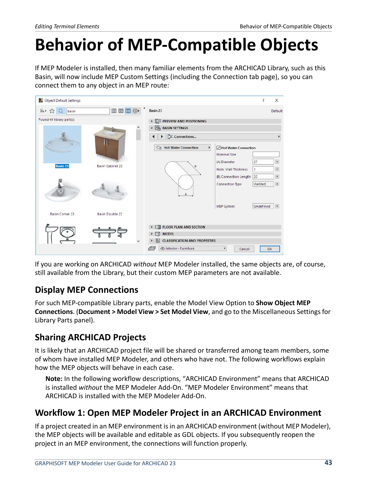# <span id="page-42-0"></span>**Behavior of MEP-Compatible Objects**

If MEP Modeler is installed, then many familiar elements from the ARCHICAD Library, such as this Basin, will now include MEP Custom Settings (including the Connection tab page), so you can connect them to any object in an MEP route:

| Object Default Settings<br>W |                         |                                                   |                       | ?            | X                     |
|------------------------------|-------------------------|---------------------------------------------------|-----------------------|--------------|-----------------------|
| ト 公<br>$\alpha$<br>basin     | 目田口龄                    | Basin 23                                          |                       |              | Default               |
| Found 49 library part(s):    |                         | <b>DI PREVIEW AND POSITIONING</b>                 |                       |              |                       |
|                              |                         | <b>BASIN SETTINGS</b>                             |                       |              |                       |
|                              |                         | <b>E</b> I⊏ Connections                           |                       |              |                       |
|                              |                         | Hot Water Connection<br>Hot Water Connection<br>Þ |                       |              |                       |
|                              |                         |                                                   | <b>Nominal Size</b>   |              |                       |
|                              |                         |                                                   | (A) Diameter          | 27           | F                     |
| <b>Basin 23</b>              | <b>Basin Cabinet 23</b> | B                                                 | Nom. Wall Thickness   | $\mathbf{1}$ | r                     |
|                              |                         |                                                   | (B) Connection Length | 20           | $\blacktriangleright$ |
|                              |                         |                                                   | Connection Type       | Welded       | $\blacktriangleright$ |
| <b>Basin Corner 23</b>       | <b>Basin Double 23</b>  |                                                   | MEP System:           | Undefined    | $\blacktriangleright$ |
|                              |                         |                                                   |                       |              |                       |
|                              |                         | <b>FLOOR PLAN AND SECTION</b>                     |                       |              |                       |
|                              |                         | <b>MODEL</b><br>Þ.                                |                       |              |                       |
|                              |                         | <b>CLASSIFICATION AND PROPERTIES</b><br>E         |                       |              |                       |
|                              |                         | © Interior - Furniture<br>$\sqrt{2H}$             | ь<br>Cancel           |              | OK                    |

If you are working on ARCHICAD *without* MEP Modeler installed, the same objects are, of course, still available from the Library, but their custom MEP parameters are not available.

#### **Display MEP Connections**

For such MEP-compatible Library parts, enable the Model View Option to **Show Object MEP Connections**. (**Document > Model View > Set Model View**, and go to the Miscellaneous Settings for Library Parts panel).

#### **Sharing ARCHICAD Projects**

It is likely that an ARCHICAD project file will be shared or transferred among team members, some of whom have installed MEP Modeler, and others who have not. The following workflows explain how the MEP objects will behave in each case.

**Note:** In the following workflow descriptions, "ARCHICAD Environment" means that ARCHICAD is installed *without* the MEP Modeler Add-On. "MEP Modeler Environment" means that ARCHICAD is installed with the MEP Modeler Add-On.

### **Workflow 1: Open MEP Modeler Project in an ARCHICAD Environment**

If a project created in an MEP environment is in an ARCHICAD environment (without MEP Modeler), the MEP objects will be available and editable as GDL objects. If you subsequently reopen the project in an MEP environment, the connections will function properly.